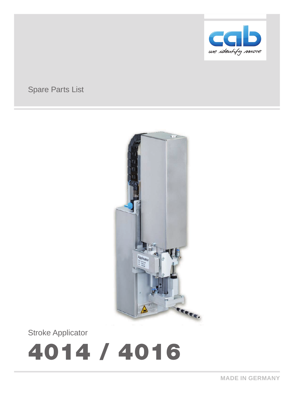

# Spare Parts List



Stroke Applicator

# 4014 / 4016

**MADE IN GERMANY**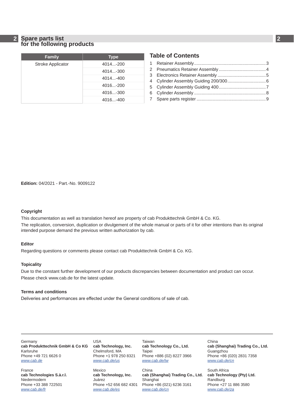#### **2 2 Spare parts list for the following products**

| <b>Family</b>            | <b>Type</b>  |
|--------------------------|--------------|
| <b>Stroke Applicator</b> | $4014 - 200$ |
|                          | 4014-300     |
|                          | $4014 - 400$ |
|                          | $4016 - 200$ |
|                          | 4016-300     |
|                          | 4016-400     |

## **Table of Contents**

**Edition:** 04/2021 - Part.-No. 9009122

#### **Copyright**

This documentation as well as translation hereof are property of cab Produkttechnik GmbH & Co. KG.

The replication, conversion, duplication or divulgement of the whole manual or parts of it for other intentions than its original intended purpose demand the previous written authorization by cab.

#### **Editor**

Regarding questions or comments please contact cab Produkttechnik GmbH & Co. KG.

#### **Topicality**

Due to the constant further development of our products discrepancies between documentation and product can occur. Please check www.cab.de for the latest update.

#### **Terms and conditions**

Deliveries and performances are effected under the General conditions of sale of cab.

**Germany cab Produkttechnik GmbH & Co KG** Karlsruhe Phone +49 721 6626 0 *www.cab.de*

France **cab Technologies S.à.r.l.** Niedermodern Phone +33 388 722501 *www.cab.de/fr*

USA **cab Technology, Inc.** Chelmsford, MA Phone +1 978 250 8321 *www.cab.de/us*

Mexico **cab Technology, Inc.** Juárez Phone +52 656 682 4301 *www.cab.de/es*

Taiwan **cab Technology Co., Ltd.** Taipei Phone +886 (02) 8227 3966 *www.cab.de/tw*

China **cab (Shanghai) Trading Co., Ltd.** Shanghai Phone +86 (021) 6236 3161 *www.cab.de/cn*

China **cab (Shanghai) Trading Co., Ltd.** Guangzhou Phone +86 (020) 2831 7358 *www.cab.de/cn*

South Africa **cab Technology (Pty) Ltd.** Randburg Phone +27 11 886 3580 *www.cab.de/za*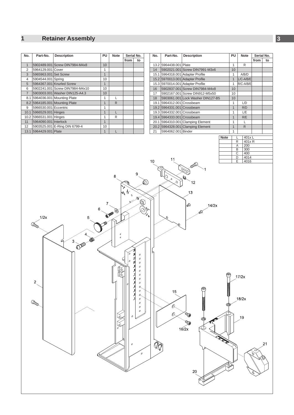### <span id="page-2-0"></span>**1 Retainer Assembly 3**

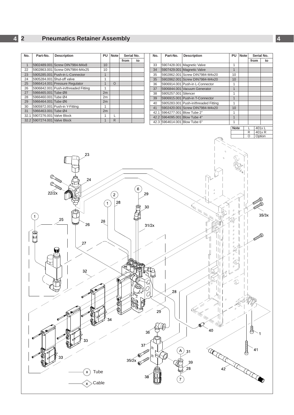## <span id="page-3-0"></span>**2 Pneumatics Retainer Assembly 4**

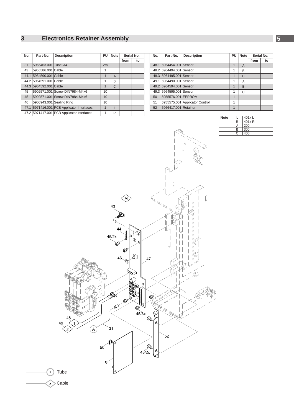#### <span id="page-4-0"></span>**3 Electronics Retainer Assembly 5**

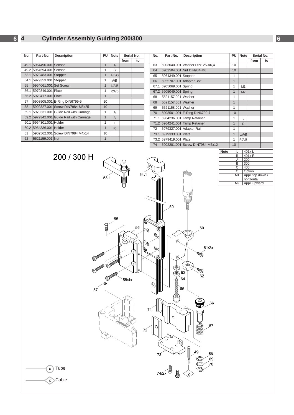## <span id="page-5-0"></span>**6 4 Cylinder Assembly Guiding 200/300 6**

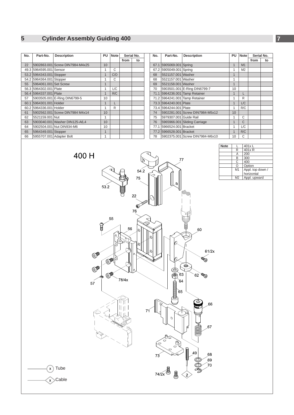### <span id="page-6-0"></span>**5 Cylinder Assembly Guiding 400 7**

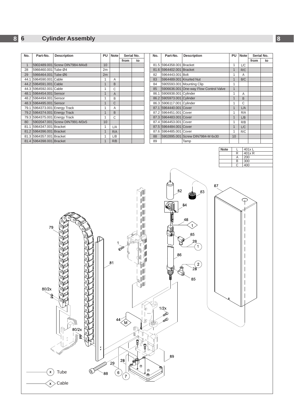<span id="page-7-0"></span>

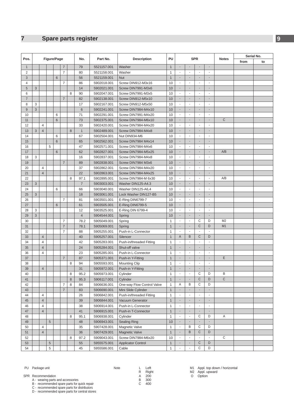# <span id="page-8-1"></span><span id="page-8-0"></span>**Spare parts register 9**

|                 | Figure/Page |                |            |                |                |   |                |             | <b>SPR</b>                 |              |                                                            |                             |                             | Serial No.               |                |      |    |
|-----------------|-------------|----------------|------------|----------------|----------------|---|----------------|-------------|----------------------------|--------------|------------------------------------------------------------|-----------------------------|-----------------------------|--------------------------|----------------|------|----|
| Pos.            |             |                |            |                |                |   | No.            | Part No.    | <b>Description</b>         | PU           |                                                            |                             |                             |                          | <b>Notes</b>   | from | to |
| $\mathbf{1}$    |             |                |            |                | $\overline{7}$ |   | 79             | 5521157.001 | Washer                     | $\mathbf{1}$ |                                                            |                             |                             | $\overline{\phantom{a}}$ |                |      |    |
| $\overline{2}$  |             |                |            |                | $\overline{7}$ |   | 80             | 5521158.001 | Washer                     | $\mathbf{1}$ | $\mathcal{L}_{\mathcal{A}}$                                | ä,                          | $\omega$                    | ä,                       |                |      |    |
| $\mathfrak{Z}$  |             |                |            | $6\phantom{1}$ |                |   | 56             | 5521159.001 | <b>Nut</b>                 | $\mathbf{1}$ |                                                            | ä,                          | $\overline{\phantom{a}}$    | $\blacksquare$           |                |      |    |
| $\overline{4}$  |             |                |            |                | 7              |   | 86             | 5902018.001 | Screw DIN912-M3x16         |              |                                                            |                             |                             | ä,                       |                |      |    |
| $5\phantom{.0}$ | 3           |                |            |                |                |   | 14             | 5902021.001 | Screw DIN7991-M3x6         | 10           |                                                            |                             | $\overline{\phantom{a}}$    | $\overline{\phantom{a}}$ |                |      |    |
| 6               |             |                |            |                |                | 8 | 90             | 5902047.001 | Screw DIN7991-M3x5         | 10           |                                                            |                             | $\sim$                      | $\sim$                   |                |      |    |
| $\overline{7}$  |             |                |            |                | $\overline{7}$ |   | 82             | 5902138.001 | Screw DIN912-M5x10         | 10           | $\overline{\phantom{a}}$                                   | $\overline{\phantom{a}}$    | $\overline{\phantom{a}}$    | $\overline{\phantom{a}}$ |                |      |    |
| 8               | 3           |                |            |                |                |   | 17             | 5902167.001 | Screw DIN912-M5x50         | 10           | $\sim$                                                     | ä,                          | $\sim$                      | ä,                       |                |      |    |
| 9               | 3           |                |            |                |                |   | 6              | 5902241.001 | Screw DIN7984-M4x10        | 10           |                                                            |                             |                             |                          |                |      |    |
| 10              |             |                |            | 6              |                |   | 71             | 5902291.001 | Screw DIN7991-M4x20        | 10           |                                                            |                             | $\sim$                      | $\sim$                   |                |      |    |
| 11              |             |                |            | 6              |                |   | 73             | 5902375.001 | Screw DIN7984-M6x10        | 10           |                                                            |                             |                             |                          | $\mathsf C$    |      |    |
| 12              |             | $\overline{4}$ |            |                |                |   | 33             | 5902420.001 | Screw DIN7984-M4x20        | 10           | ÷.                                                         | $\omega$                    | $\omega$                    | $\overline{\phantom{a}}$ |                |      |    |
| 13              | 3           | $\overline{4}$ |            |                |                | 8 | $\mathbf{1}$   | 5902489.001 | Screw DIN7984-M4x8         | 10           |                                                            |                             |                             | ÷,                       |                |      |    |
| 14              |             |                |            | 6              |                |   | 67             | 5902504.001 | Nut DIN934-M6              | 10           |                                                            |                             |                             | ä,                       |                |      |    |
| 15              |             |                |            | $6\phantom{1}$ |                |   | 65             | 5902562.001 | Screw DIN7984 M4x14        | 10           |                                                            |                             | $\overline{\phantom{a}}$    | $\overline{\phantom{a}}$ |                |      |    |
| 16              |             |                | 5          |                |                |   | 47             | 5902571.001 | Screw DIN7984-M4x6         | 10           |                                                            |                             |                             | $\sim$                   |                |      |    |
| 17              |             |                |            | 6              |                |   | 62             | 5902827.001 | Screw DIN7984-M5x25        | 10           | $\overline{\phantom{a}}$                                   | $\overline{\phantom{a}}$    | $\sim$                      | $\overline{\phantom{a}}$ | A/B            |      |    |
| 18              | 3           |                |            |                |                |   | 16             | 5902837.001 | Screw DIN7984-M4x8         | 10           | $\overline{\phantom{a}}$                                   | ٠                           | $\overline{\phantom{a}}$    | ÷,                       |                |      |    |
| 19              |             |                |            |                | $\overline{7}$ |   | 89             | 5902838.001 | Screw DIN7984 M3x6         | 10           |                                                            |                             |                             |                          |                |      |    |
| 20              |             | $\overline{4}$ |            |                |                |   | 37             | 5902862.001 | Screw DIN7984-M4x20        | 10           |                                                            |                             | $\sim$                      | $\tilde{\phantom{a}}$    |                |      |    |
| 21              |             | $\overline{4}$ |            |                |                |   | 22             | 5902863.001 | Screw DIN7984-M4x25        | 10           |                                                            |                             |                             |                          |                |      |    |
| 22              |             |                |            |                |                | 8 | 97.1           | 5902895.001 | Screw DIN7984-M 6x30       | 10           | $\blacksquare$                                             | $\blacksquare$              | $\mathbf{r}$                | ÷,                       | A/B            |      |    |
| 23              | 3           |                |            |                |                |   | $\overline{7}$ | 5903003.001 | Washer DIN125-A4.3         | 10           | $\overline{\phantom{a}}$                                   | ÷,                          | $\sim$                      | $\blacksquare$           |                |      |    |
| 24              |             |                |            | 6              |                |   | 66             | 5903040.001 | Washer DIN125-A6,4         | 10           | ×.<br>ä,<br>$\sim$<br>×,                                   |                             |                             |                          |                |      |    |
| 25              | 3           |                |            |                |                |   | 18             | 5903061.001 | Lock Washer DIN127-B5      | 10           |                                                            |                             |                             |                          |                |      |    |
| 26              |             |                |            |                | $\overline{7}$ |   | 81             | 5903501.001 | E-Ring DIN6799-7           | 10           |                                                            | ä,                          | $\mathcal{L}$               |                          |                |      |    |
| 27              |             |                |            | 6              |                |   | 61             | 5903505.001 | E-Ring DIN6799-5           | 10           | $\overline{\phantom{a}}$                                   | $\overline{\phantom{a}}$    | $\sim$                      | $\overline{\phantom{a}}$ |                |      |    |
| 28              | 3           |                |            |                |                |   | 12             | 5903525.001 | E-Ring DIN 6799-4          | 10           | $\sim$                                                     | $\tilde{\phantom{a}}$       | $\sim$                      | $\sim$                   |                |      |    |
| 29              | 3           |                |            |                |                |   | $\overline{4}$ | 5904544.001 | Spring                     | 10           | $\overline{\phantom{a}}$                                   | $\overline{a}$              | $\sim$                      | $\blacksquare$           |                |      |    |
| 30              |             |                |            |                | 7              |   | 78.2           | 5905049.001 | Spring                     | $\mathbf{1}$ |                                                            | ä,                          | C                           | D                        | M <sub>2</sub> |      |    |
| 31              |             |                |            |                | $\overline{7}$ |   | 78.1           | 5905069.001 | Spring                     | $\mathbf{1}$ |                                                            | $\overline{\phantom{a}}$    | C                           | D                        | M1             |      |    |
| 32              |             |                |            |                | $\overline{7}$ |   | 88             | 5905255.001 | Push-in L-Connector        | $\mathbf{1}$ | $\mathcal{L}_{\mathcal{A}}$                                | $\overline{\phantom{a}}$    | $\bar{\phantom{a}}$         | ä,                       |                |      |    |
| 33              |             | $\overline{4}$ |            |                |                |   | 40             | 5905257.001 | Silencer                   | $\mathbf{1}$ | A                                                          | B                           | C                           | D                        |                |      |    |
| 34              |             | $\overline{4}$ |            |                |                |   | 42             | 5905283.001 | Push-in/threaded Fitting   | $\mathbf{1}$ | ×.                                                         | ÷                           | ×.                          | ÷.                       |                |      |    |
| 35              |             | $\overline{4}$ |            |                |                |   | 24             | 5905284.001 | Shut-off valve             | $\mathbf{1}$ |                                                            |                             |                             |                          |                |      |    |
| 36              |             | $\overline{4}$ |            |                |                |   | 23             | 5905285.001 | Push-in L-Connector        | $\mathbf{1}$ | ×.                                                         | ä,                          | ×.                          | ×,                       |                |      |    |
| 37              |             |                |            |                | $\overline{7}$ |   | 87             | 5905371.001 | Push-in Y-Fitting          | $\mathbf{1}$ | $\overline{\phantom{a}}$                                   | $\overline{\phantom{a}}$    | $\overline{\phantom{a}}$    | $\overline{\phantom{a}}$ | E              |      |    |
| 38              |             |                |            |                |                | 8 | 94             | 5905593.001 | <b>Mounting Clip</b>       | 1            |                                                            |                             | $\sim$                      | ٠                        |                |      |    |
| 39              |             | $\overline{4}$ |            |                |                |   | 31             | 5905972.001 | Push-in Y-Fitting          | $\mathbf{1}$ |                                                            | ÷                           |                             | $\blacksquare$           |                |      |    |
| 40              |             |                |            |                |                | 8 | 95.2           | 5905973.001 | Cylinder                   | $\mathbf{1}$ |                                                            |                             | С                           | D                        | В              |      |    |
| 41              |             |                |            |                |                | 8 | 95.3           | 5906117.001 | Cylinder                   | $\mathbf{1}$ | ÷.                                                         | ÷.                          | $\mathsf C$                 | D                        | $\mathsf C$    |      |    |
| 42              |             |                |            |                | 7              | 8 | 84             | 5906636.001 | One-way Flow Control Valve | $\mathbf{1}$ | Α                                                          | В                           | С                           | D                        |                |      |    |
| 43              |             |                |            |                | $\overline{7}$ |   | 83             | 5906690.001 | Mini Slide Cylinder        | $\mathbf{1}$ |                                                            |                             |                             |                          |                |      |    |
| 44              |             | $\overline{4}$ |            |                |                |   | 26             | 5906842.001 | Push-in/threaded Fitting   | $\mathbf{1}$ |                                                            |                             | $\overline{\phantom{a}}$    | $\overline{\phantom{a}}$ |                |      |    |
| 45              |             | $\overline{4}$ |            |                |                |   | 39             | 5906844.001 | Vacuum Generator           | $\mathbf{1}$ | $\overline{\phantom{a}}$                                   |                             | $\overline{\phantom{a}}$    |                          |                |      |    |
| 46              |             | $\overline{4}$ |            |                |                |   | 38             | 5906914.001 | Push-in L-Connector        | $\mathbf{1}$ | $\mathcal{L}_{\mathcal{A}}$                                | $\mathcal{L}_{\mathcal{A}}$ | $\mathcal{L}_{\mathcal{A}}$ | $\blacksquare$           |                |      |    |
| 47              |             | $\overline{4}$ |            |                |                |   | 41             | 5906915.001 | Push-in T-Connector        | $\mathbf{1}$ | $\overline{\phantom{a}}$<br>÷,<br>$\overline{\phantom{a}}$ |                             |                             |                          |                |      |    |
| 48              |             |                |            |                |                | 8 | 95.1           | 5906938.001 | Cylinder                   | $\mathbf{1}$ | $\overline{\phantom{a}}$                                   | ÷,                          | С                           | D                        | Α              |      |    |
| 49              |             |                | 5          |                |                |   | 48             | 5906943.001 | <b>Sealing Ring</b>        | 10           | $\overline{\phantom{a}}$                                   |                             |                             |                          |                |      |    |
| 50              |             | 4              |            |                |                |   | 35             | 5907428.001 | Magnetic Valve             | $\mathbf{1}$ | $\overline{\phantom{a}}$                                   | B                           | C                           | D                        |                |      |    |
| 51              |             | $\overline{4}$ |            |                |                |   | 36             | 5907429.001 | <b>Magnetic Valve</b>      | $\mathbf{1}$ | $\overline{\phantom{a}}$                                   | B                           | C                           | D                        |                |      |    |
| 52              |             |                |            |                |                | 8 | 97.2           | 5909043.001 | Screw DIN7984-M6x20        | 10           | $\overline{\phantom{a}}$                                   | ÷,                          | $\blacksquare$              | $\overline{\phantom{a}}$ | С              |      |    |
| 53              |             |                | $\sqrt{5}$ |                |                |   | 55             | 5955575.001 | <b>Applicator Control</b>  | $\mathbf{1}$ |                                                            | $\overline{\phantom{a}}$    | $\mathsf{C}$                | D                        |                |      |    |
| 54              |             |                | 5          |                |                |   | 45             | 5955586.001 | Cable                      | $\mathbf{1}$ |                                                            | ä,                          | С                           | D                        |                |      |    |
|                 |             |                |            |                |                |   |                |             |                            |              |                                                            |                             |                             |                          |                |      |    |

- 
- 
- 
- SPR Recommendation<br>
A 200 C Option<br>
A 200 C recommended spare parts for quick repair<br>
C recommended spare parts for distributors<br>
D recommended spare parts for central stores<br>
D recommended spare parts for central
	-

- 
- 
- 
- 

# PU Package unit Note L Left M1 Appl. top down / horizontal R Right M2 Appl. upward

- 
-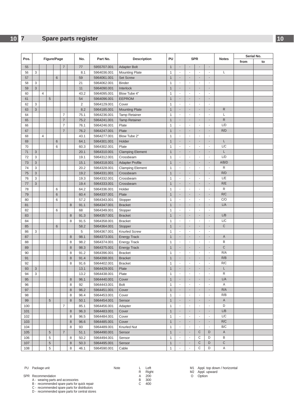# **7 [Spare parts register](#page-8-1) 10**

|      | Figure/Page    |                |            |                 |                |   |                |             |                         |                |                                | Serial No.               |                          |                          |              |      |    |
|------|----------------|----------------|------------|-----------------|----------------|---|----------------|-------------|-------------------------|----------------|--------------------------------|--------------------------|--------------------------|--------------------------|--------------|------|----|
| Pos. |                |                |            |                 |                |   | No.            | Part No.    | <b>Description</b>      | PU             | <b>SPR</b>                     |                          |                          |                          | <b>Notes</b> | from | to |
| 55   |                |                |            |                 | $\overline{7}$ |   | 77             | 5955707.001 | <b>Adapter Bolt</b>     | $\mathbf{1}$   | $\overline{\phantom{a}}$       |                          | ÷,                       | $\overline{\phantom{a}}$ |              |      |    |
| 56   | 3              |                |            |                 |                |   | 8.1            | 5964036.001 | <b>Mounting Plate</b>   | $\mathbf{1}$   | ä,                             | $\overline{\phantom{a}}$ | L.                       | $\bar{\phantom{a}}$      | L            |      |    |
| 57   |                |                |            | $6\phantom{1}6$ |                |   | 59             | 5964061.001 | <b>Set Screw</b>        | $\mathbf{1}$   | $\overline{\phantom{a}}$       | $\overline{\phantom{a}}$ | $\overline{\phantom{a}}$ | $\overline{\phantom{a}}$ |              |      |    |
| 58   | 3              |                |            |                 |                |   | 21             | 5964062.001 | <b>Binder</b>           | $\overline{1}$ | $\overline{\phantom{a}}$       | $\overline{\phantom{a}}$ | $\frac{1}{2}$            | $\overline{\phantom{a}}$ |              |      |    |
| 59   | 3              |                |            |                 |                |   | 11             | 5964090.001 | Interlock               | $\mathbf{1}$   | ÷,                             |                          |                          |                          |              |      |    |
| 60   |                | $\overline{4}$ |            |                 |                |   | 43.2           | 5964095.001 | Blow Tube 4"            | $\mathbf{1}$   | $\overline{\phantom{a}}$       | $\sim$                   | $\blacksquare$           | $\sim$                   |              |      |    |
| 61   |                |                | 5          |                 |                |   | 54             | 5964096.001 | <b>EEPROM</b>           | $\mathbf{1}$   | $\blacksquare$                 | $\sim$                   | ÷,                       |                          |              |      |    |
| 62   | 3              |                |            |                 |                |   | $\overline{2}$ | 5964129.001 | Cover                   | $\mathbf{1}$   | $\blacksquare$                 | $\blacksquare$           | $\overline{\phantom{a}}$ | $\sim$                   |              |      |    |
| 63   | 3              |                |            |                 |                |   | 8.2            | 5964185.001 | <b>Mounting Plate</b>   | $\mathbf{1}$   | $\overline{\phantom{a}}$       | $\overline{\phantom{a}}$ | ÷                        | $\overline{\phantom{a}}$ | ${\sf R}$    |      |    |
| 64   |                |                |            |                 | $\overline{7}$ |   | 75.1           | 5964236.001 | <b>Tamp Retainer</b>    | $\mathbf{1}$   | $\mathcal{L}$                  | $\mathbf{r}$             | ÷                        | $\mathcal{L}$            | L            |      |    |
| 65   |                |                |            |                 | $\overline{7}$ |   | 75.2           | 5964241.001 | <b>Tamp Retainer</b>    | $\mathbf{1}$   | ÷                              |                          |                          | ÷                        | ${\sf R}$    |      |    |
| 66   |                |                |            |                 | $\overline{7}$ |   | 76.1           | 5964246.001 | Plate                   | $\mathbf{1}$   | ä,                             | $\Box$                   | ä,                       | $\bar{\phantom{a}}$      | L/D          |      |    |
| 67   |                |                |            |                 | $\overline{7}$ |   | 76.2           | 5964247.001 | Plate                   | $\mathbf{1}$   | ÷                              | $\overline{\phantom{a}}$ | ÷,                       | $\blacksquare$           | R/D          |      |    |
| 68   |                | $\overline{4}$ |            |                 |                |   | 43.1           | 5964277.001 | Blow Tube 2"            | $\mathbf{1}$   | $\overline{\phantom{a}}$       | $\overline{\phantom{a}}$ | ÷,                       | $\overline{\phantom{a}}$ |              |      |    |
| 69   |                |                |            | $6\phantom{1}6$ |                |   | 64.1           | 5964301.001 | Holder                  | $\mathbf{1}$   | $\overline{\phantom{a}}$       | $\overline{\phantom{a}}$ | $\overline{\phantom{a}}$ | $\sim$                   | L            |      |    |
| 70   |                |                |            | 6               |                |   | 60.3           | 5964302.001 | Plate                   | $\mathbf{1}$   | $\overline{\phantom{a}}$       |                          |                          | $\overline{\phantom{a}}$ | L/C          |      |    |
| 71   | $\mathfrak{Z}$ |                |            |                 |                |   | 20.1           | 5964310.001 | <b>Clamping Element</b> | $\mathbf{1}$   | $\overline{\phantom{a}}$       | $\overline{\phantom{a}}$ | $\overline{\phantom{a}}$ | $\overline{\phantom{a}}$ | L            |      |    |
| 72   | 3              |                |            |                 |                |   | 19.1           | 5964312.001 | Crossbeam               | $\mathbf{1}$   | $\blacksquare$                 | $\overline{\phantom{a}}$ | $\overline{\phantom{a}}$ | $\overline{\phantom{a}}$ | L/D          |      |    |
| 73   | $\sqrt{3}$     |                |            |                 |                |   | 15.1           | 5964318.001 | <b>Adapter Profile</b>  | $\mathbf{1}$   | $\overline{\phantom{a}}$       | $\overline{\phantom{a}}$ | $\overline{\phantom{a}}$ | $\overline{\phantom{a}}$ | A/B/D        |      |    |
| 74   | 3              |                |            |                 |                |   | 20.2           | 5964328.001 | <b>Clamping Element</b> | $\mathbf{1}$   | $\mathcal{L}$                  | ×.                       | $\sim$                   | $\sim$                   | R            |      |    |
| 75   | 3              |                |            |                 |                |   | 19.2           | 5964331.001 | Crossbeam               | $\overline{1}$ | $\overline{a}$                 |                          |                          |                          | R/D          |      |    |
| 76   | 3              |                |            |                 |                |   | 19.3           | 5964332.001 | Crossbeam               | $\mathbf{1}$   | $\blacksquare$                 | $\Box$                   | ÷.                       | $\mathcal{L}$            | L/E          |      |    |
| 77   | 3              |                |            |                 |                |   | 19.4           | 5964333.001 | Crossbeam               | $\mathbf{1}$   | $\overline{\phantom{a}}$       | $\overline{\phantom{a}}$ | ÷                        | ÷                        | R/E          |      |    |
| 78   |                |                |            | 6               |                |   | 64.2           | 5964336.001 | Holder                  | $\mathbf{1}$   | ÷,                             | $\sim$                   | ä,                       | $\sim$                   | R            |      |    |
| 79   |                |                |            | $6\phantom{1}6$ |                |   | 60.4           | 5964337.001 | Plate                   | $\mathbf{1}$   | $\overline{\phantom{a}}$       | $\sim$                   | ÷,                       | $\blacksquare$           | R/C          |      |    |
| 80   |                |                |            | 6               |                |   | 57.2           | 5964343.001 |                         | $\overline{1}$ | $\overline{\phantom{a}}$       | $\overline{\phantom{a}}$ | $\blacksquare$           | $\overline{\phantom{a}}$ | C/O          |      |    |
| 81   |                |                |            |                 |                | 8 | 91.1           |             | Stopper                 | $\mathbf{1}$   | $\blacksquare$                 | $\overline{\phantom{a}}$ | ÷,                       | ÷,                       | L/A          |      |    |
| 82   |                |                |            | 6               |                |   | 68             | 5964347.001 | <b>Bracket</b>          | $\mathbf{1}$   | $\overline{\phantom{a}}$       | $\overline{\phantom{a}}$ | ÷,                       | $\overline{\phantom{a}}$ |              |      |    |
|      |                |                |            |                 |                |   |                | 5964349.001 | Stopper                 |                | $\blacksquare$                 | $\sim$                   | ÷,                       | $\blacksquare$           | L/B          |      |    |
| 83   |                |                |            |                 |                | 8 | 91.3           | 5964357.001 | <b>Bracket</b>          | $\mathbf{1}$   | $\blacksquare$                 | $\sim$                   | $\tilde{\phantom{a}}$    | $\sim$                   | L/C          |      |    |
| 84   |                |                |            |                 |                | 8 | 91.5           | 5964358.001 | <b>Bracket</b>          | $\mathbf{1}$   |                                | $\blacksquare$           | ÷                        | ÷                        | $\mathsf C$  |      |    |
| 85   |                |                |            | 6               |                |   | 58.2           | 5964364.001 | Stopper                 | $\mathbf{1}$   | $\overline{\phantom{a}}$<br>ä, | $\mathbf{r}$             | $\omega$                 | $\bar{\phantom{a}}$      |              |      |    |
| 86   | 3              |                |            |                 |                |   | 5              | 5964367.001 | <b>Knurled Screw</b>    | $\mathbf{1}$   |                                |                          |                          |                          |              |      |    |
| 87   |                |                |            |                 |                | 8 | 98.1           | 5964373.001 | <b>Energy Track</b>     | $\mathbf{1}$   | $\overline{\phantom{a}}$       | $\overline{\phantom{a}}$ | ÷,                       | $\overline{\phantom{a}}$ | $\mathsf A$  |      |    |
| 88   |                |                |            |                 |                | 8 | 98.2           | 5964374.001 | <b>Energy Track</b>     | $\mathbf{1}$   | $\overline{\phantom{a}}$       | $\overline{\phantom{a}}$ | ä,                       | ÷,                       | B            |      |    |
| 89   |                |                |            |                 |                | 8 | 98.3           | 5964375.001 | <b>Energy Track</b>     | $\mathbf{1}$   | $\blacksquare$                 | $\overline{\phantom{a}}$ | ٠                        | $\overline{\phantom{a}}$ | $\mathsf{C}$ |      |    |
| 90   |                |                |            |                 |                | 8 | 91.2           | 5964396.001 | <b>Bracket</b>          | $\mathbf{1}$   | $\sim$                         | $\sim$                   | ä,                       | $\sim$                   | R/A          |      |    |
| 91   |                |                |            |                 |                | 8 | 91.4           | 5964398.001 | <b>Bracket</b>          | $\mathbf{1}$   | $\overline{\phantom{a}}$       | $\overline{\phantom{a}}$ | $\overline{\phantom{a}}$ | $\overline{\phantom{a}}$ | R/B          |      |    |
| 92   |                |                |            |                 |                | 8 | 91.6           | 5964402.001 | <b>Bracket</b>          | $\mathbf{1}$   | ÷,                             | $\overline{\phantom{a}}$ | ÷,                       | $\overline{\phantom{a}}$ | R/C          |      |    |
| 93   | $\sqrt{3}$     |                |            |                 |                |   | 13.1           | 5964429.001 | Plate                   | $\mathbf{1}$   |                                |                          |                          |                          | L            |      |    |
| 94   | 3              |                |            |                 |                |   | 13.2           | 5964438.001 | Plate                   | 1              |                                |                          |                          |                          | R            |      |    |
| 95   |                |                |            |                 |                | 8 | 96.1           | 5964440.001 | Cover                   | $\mathbf{1}$   | $\overline{\phantom{a}}$       | $\overline{\phantom{a}}$ | $\sim$                   |                          | L/A          |      |    |
| 96   |                |                |            |                 |                | 8 | 92             | 5964443.001 | <b>Bolt</b>             | $\mathbf{1}$   | $\blacksquare$                 | $\blacksquare$           | $\blacksquare$           | $\overline{\phantom{a}}$ | Α            |      |    |
| 97   |                |                |            |                 |                | 8 | 96.2           | 5964451.001 | Cover                   | $\mathbf{1}$   | $\overline{\phantom{a}}$       | $\overline{\phantom{a}}$ | $\overline{\phantom{a}}$ | ÷                        | R/A          |      |    |
| 98   |                |                |            |                 |                | 8 | 96.4           | 5964453.001 | Cover                   | $\mathbf{1}$   | $\overline{\phantom{a}}$       | $\overline{\phantom{a}}$ | $\sim$                   | $\sim$                   | R/B          |      |    |
| 99   |                |                | 5          |                 |                | 8 | 50.1           | 5964454.001 | Sensor                  | $\mathbf{1}$   | $\blacksquare$                 | $\overline{\phantom{a}}$ | $\sim$                   | $\overline{\phantom{a}}$ | $\mathsf A$  |      |    |
| 100  |                |                |            |                 | $\overline{7}$ |   | 85.1           | 5964456.001 | Adapter                 | $\mathbf{1}$   | $\mathbf{r}$                   | ×.                       | $\mathcal{L}$            | $\mathbf{r}$             | D            |      |    |
| 101  |                |                |            |                 |                | 8 | 96.3           | 5964483.001 | Cover                   | $\overline{1}$ | $\overline{\phantom{a}}$       | $\overline{\phantom{a}}$ | $\overline{\phantom{a}}$ | $\overline{\phantom{a}}$ | L/B          |      |    |
| 102  |                |                |            |                 |                | 8 | 96.5           | 5964484.001 | Cover                   | $\mathbf{1}$   | $\overline{\phantom{a}}$       | $\overline{\phantom{a}}$ | $\overline{\phantom{a}}$ | $\overline{\phantom{a}}$ | L/C          |      |    |
| 103  |                |                |            |                 |                | 8 | 96.6           | 5964485.001 | Cover                   | $\mathbf{1}$   | $\overline{\phantom{a}}$       | $\overline{\phantom{a}}$ | $\overline{\phantom{a}}$ | ÷,                       | R/C          |      |    |
| 104  |                |                |            |                 |                | 8 | 93             | 5964489.001 | Knurled Nut             | $\mathbf{1}$   | $\overline{\phantom{a}}$       | $\overline{\phantom{a}}$ |                          | $\overline{\phantom{a}}$ | B/C          |      |    |
| 105  |                |                | 5          |                 | $\overline{7}$ |   | 51.1           | 5964490.001 | Sensor                  | $\mathbf{1}$   | $\blacksquare$                 | $\overline{\phantom{a}}$ | C                        | D                        | Α            |      |    |
| 106  |                |                | 5          |                 |                | 8 | 50.2           | 5964494.001 | Sensor                  | $\mathbf{1}$   | $\overline{\phantom{a}}$       | $\overline{\phantom{a}}$ | С                        | D                        | В            |      |    |
| 107  |                |                | $\sqrt{5}$ |                 |                | 8 | 50.3           | 5964495.001 | Sensor                  | $\mathbf{1}$   | $\overline{\phantom{a}}$       | $\overline{\phantom{a}}$ | C                        | D                        | С            |      |    |
| 108  |                |                | 5          |                 |                | 8 | 46.1           | 5964590.001 | Cable                   | $\mathbf{1}$   | $\overline{\phantom{a}}$       | $\overline{\phantom{a}}$ | С                        | D                        | Α            |      |    |

SPR Recommendation<br>
A 200 C Option<br>
A 200 C - recommended spare parts for quick repair<br>
C - recommended spare parts for distributors<br>
D - recommended spare parts for central stores<br>
D - recommended spare parts for central

PU Package unit Note L Left M1 Appl. top down / horizontal R Right M2 Appl. upward